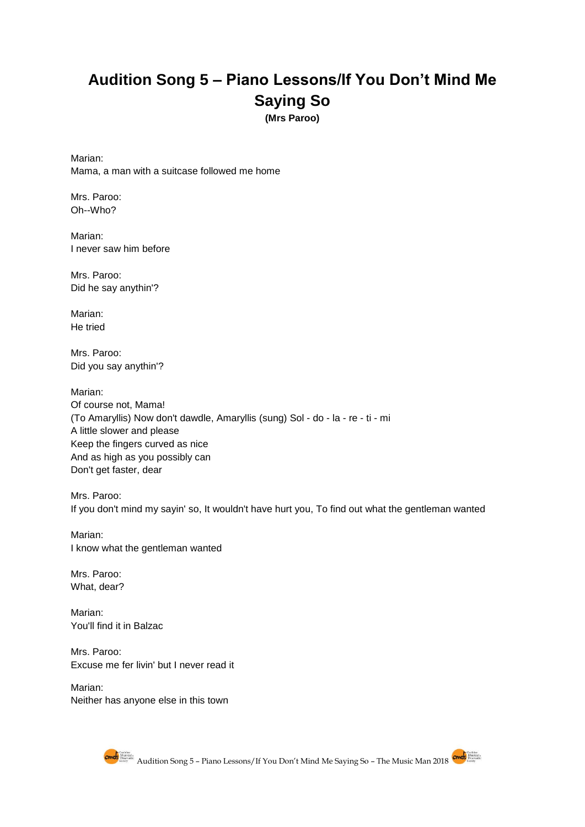## **Audition Song 5 – Piano Lessons/If You Don't Mind Me Saying So**

**(Mrs Paroo)**

Marian: Mama, a man with a suitcase followed me home

Mrs. Paroo: Oh--Who?

Marian: I never saw him before

Mrs. Paroo: Did he say anythin'?

Marian: He tried

Mrs. Paroo: Did you say anythin'?

Marian: Of course not, Mama! (To Amaryllis) Now don't dawdle, Amaryllis (sung) Sol - do - la - re - ti - mi A little slower and please Keep the fingers curved as nice And as high as you possibly can Don't get faster, dear

Mrs. Paroo: If you don't mind my sayin' so, It wouldn't have hurt you, To find out what the gentleman wanted

Marian: I know what the gentleman wanted

Mrs. Paroo: What, dear?

[Marian:](https://genius.com/Meredith-willson-piano-lesson-if-you-dont-mind-my-saying-so-lyrics#note-11168528) [You'll find it in Balzac](https://genius.com/Meredith-willson-piano-lesson-if-you-dont-mind-my-saying-so-lyrics#note-11168528)

Mrs. Paroo: Excuse me fer livin' but I never read it

Marian: Neither has anyone else in this town